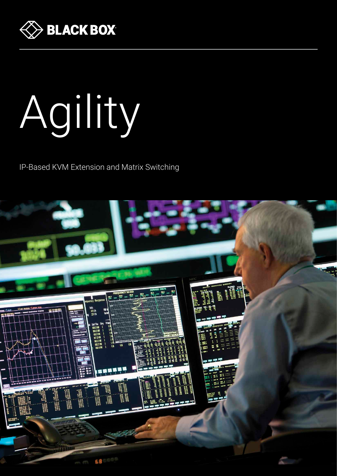

# Agility

IP-Based KVM Extension and Matrix Switching

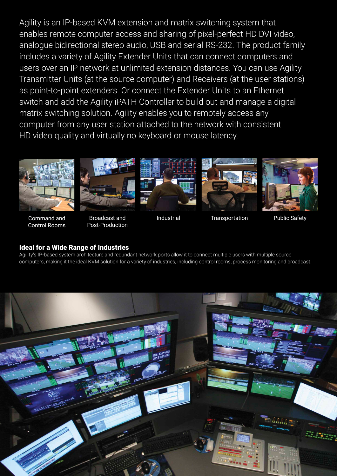Agility is an IP-based KVM extension and matrix switching system that enables remote computer access and sharing of pixel-perfect HD DVI video, analogue bidirectional stereo audio, USB and serial RS-232. The product family includes a variety of Agility Extender Units that can connect computers and users over an IP network at unlimited extension distances. You can use Agility Transmitter Units (at the source computer) and Receivers (at the user stations) as point-to-point extenders. Or connect the Extender Units to an Ethernet switch and add the Agility iPATH Controller to build out and manage a digital matrix switching solution. Agility enables you to remotely access any computer from any user station attached to the network with consistent HD video quality and virtually no keyboard or mouse latency.



Command and Control Rooms



Broadcast and Post-Production





Industrial Transportation Public Safety

# Ideal for a Wide Range of Industries

Agility's IP-based system architecture and redundant network ports allow it to connect multiple users with multiple source computers, making it the ideal KVM solution for a variety of industries, including control rooms, process monitoring and broadcast.

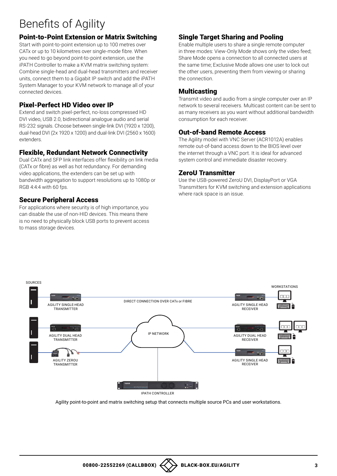# Benefits of Agility

# Point-to-Point Extension or Matrix Switching

Start with point-to-point extension up to 100 metres over CATx or up to 10 kilometres over single-mode fibre. When you need to go beyond point-to-point extension, use the iPATH Controller to make a KVM matrix switching system: Combine single-head and dual-head transmitters and receiver units, connect them to a Gigabit IP switch and add the iPATH System Manager to your KVM network to manage all of your connected devices.

# Pixel-Perfect HD Video over IP

Extend and switch pixel-perfect, no-loss compressed HD DVI video, USB 2.0, bidirectional analogue audio and serial RS-232 signals. Choose between single-link DVI (1920 x 1200), dual-head DVI (2x 1920 x 1200) and dual-link DVI (2560 x 1600) extenders.

# Flexible, Redundant Network Connectivity

Dual CATx and SFP link interfaces offer flexibility on link media (CATx or fibre) as well as hot redundancy. For demanding video applications, the extenders can be set up with bandwidth aggregation to support resolutions up to 1080p or RGB 4:4:4 with 60 fps.

# Secure Peripheral Access

For applications where security is of high importance, you can disable the use of non-HID devices. This means there is no need to physically block USB ports to prevent access to mass storage devices.

## Single Target Sharing and Pooling

Enable multiple users to share a single remote computer in three modes: View-Only Mode shows only the video feed; Share Mode opens a connection to all connected users at the same time; Exclusive Mode allows one user to lock out the other users, preventing them from viewing or sharing the connection.

#### **Multicasting**

Transmit video and audio from a single computer over an IP network to several receivers. Multicast content can be sent to as many receivers as you want without additional bandwidth consumption for each receiver.

#### Out-of-band Remote Access

The Agility model with VNC Server (ACR1012A) enables remote out-of-band access down to the BIOS level over the internet through a VNC port. It is ideal for advanced system control and immediate disaster recovery.

## ZeroU Transmitter

Use the USB-powered ZeroU DVI, DisplayPort or VGA Transmitters for KVM switching and extension applications where rack space is an issue.



Agility point-to-point and matrix switching setup that connects multiple source PCs and user workstations.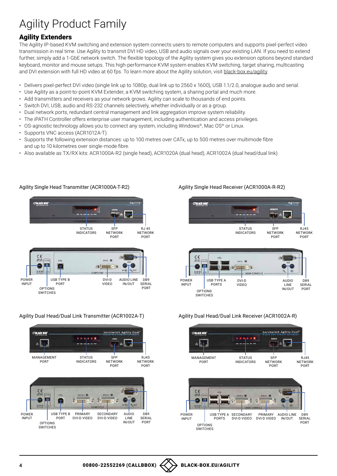# Agility Product Family

# Agility Extenders

The Agility IP-based KVM switching and extension system connects users to remote computers and supports pixel-perfect video transmission in real time. Use Agility to transmit DVI HD video, USB and audio signals over your existing LAN. If you need to extend further, simply add a 1-GbE network switch. The flexible topology of the Agility system gives you extension options beyond standard keyboard, monitor and mouse setups. This high-performance KVM system enables KVM switching, target sharing, multicasting and DVI extension with full HD video at 60 fps. To learn more about the Agility solution, visit [black-box.eu/agility](https://gtly.to/hzsI-r2PQ).

- Delivers pixel-perfect DVI video (single link up to 1080p, dual link up to 2560 x 1600), USB 1.1/2.0, analogue audio and serial.
- Use Agility as a point-to-point KVM Extender, a KVM switching system, a sharing portal and much more.
- Add transmitters and receivers as your network grows. Agility can scale to thousands of end points.
- Switch DVI, USB, audio and RS-232 channels selectively, whether individually or as a group.
- Dual network ports, redundant central management and link aggregation improve system reliability.
- The iPATH Controller offers enterprise user management, including authentication and access privileges.
- OS-agnostic technology allows you to connect any system, including Windows®, Mac OS® or Linux.
- Supports VNC access (ACR1012A-T).
- Supports the following extension distances: up to 100 metres over CATx, up to 500 metres over multimode fibre and up to 10 kilometres over single-mode fibre.
- Also available as TX/RX kits: ACR1000A-R2 (single head), ACR1020A (dual head), ACR1002A (dual head/dual link).



#### Agility Single Head Transmitter (ACR1000A-T-R2)

#### Agility Single Head Receiver (ACR1000A-R-R2)





#### Agility Dual Head/Dual Link Transmitter (ACR1002A-T)



#### Agility Dual Head/Dual Link Receiver (ACR1002A-R)



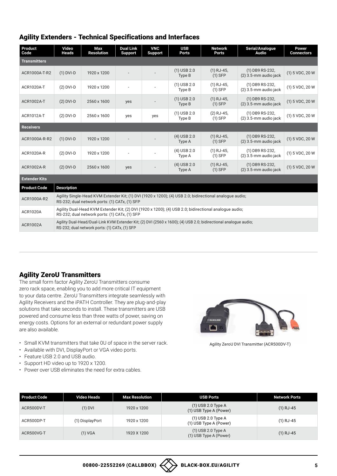# Agility Extenders - Technical Specifications and Interfaces

| Product<br>Code      | Video<br><b>Heads</b>                                                                                                                                            | Max<br><b>Resolution</b> | <b>Dual Link</b><br><b>Support</b> | <b>VNC</b><br><b>Support</b> | <b>USB</b><br><b>Ports</b> | <b>Network</b><br><b>Ports</b> | Serial/Analogue<br>Audio                 | <b>Power</b><br><b>Connectors</b> |
|----------------------|------------------------------------------------------------------------------------------------------------------------------------------------------------------|--------------------------|------------------------------------|------------------------------|----------------------------|--------------------------------|------------------------------------------|-----------------------------------|
| <b>Transmitters</b>  |                                                                                                                                                                  |                          |                                    |                              |                            |                                |                                          |                                   |
| ACR1000A-T-R2        | $(1)$ DVI-D                                                                                                                                                      | 1920 x 1200              |                                    |                              | $(1)$ USB 2.0<br>Type B    | $(1)$ RJ-45,<br>$(1)$ SFP      | (1) DB9 RS-232,<br>(2) 3.5-mm audio jack | (1) 5 VDC, 20 W                   |
| <b>ACR1020A-T</b>    | $(2)$ DVI-D                                                                                                                                                      | 1920 x 1200              |                                    |                              | $(1)$ USB 2.0<br>Type B    | $(1)$ RJ-45,<br>$(1)$ SFP      | (1) DB9 RS-232,<br>(2) 3.5-mm audio jack | (1) 5 VDC, 20 W                   |
| ACR1002A-T           | $(2)$ DVI-D                                                                                                                                                      | 2560 x 1600              | yes                                |                              | $(1)$ USB 2.0<br>Type B    | $(1)$ RJ-45,<br>$(1)$ SFP      | (1) DB9 RS-232,<br>(2) 3.5-mm audio jack | (1) 5 VDC, 20 W                   |
| ACR1012A-T           | $(2)$ DVI-D                                                                                                                                                      | 2560 x 1600              | yes                                | yes                          | $(1)$ USB 2.0<br>Type B    | $(2)$ RJ-45,<br>$(1)$ SFP      | (1) DB9 RS-232,<br>(2) 3.5-mm audio jack | (1) 5 VDC, 20 W                   |
| <b>Receivers</b>     |                                                                                                                                                                  |                          |                                    |                              |                            |                                |                                          |                                   |
| ACR1000A-R-R2        | $(1)$ DVI-D                                                                                                                                                      | 1920 x 1200              |                                    |                              | $(4)$ USB 2.0<br>Type A    | $(1)$ RJ-45,<br>$(1)$ SFP      | (1) DB9 RS-232,<br>(2) 3.5-mm audio jack | (1) 5 VDC, 20 W                   |
| ACR1020A-R           | $(2)$ DVI-D                                                                                                                                                      | 1920 x 1200              |                                    |                              | $(4)$ USB 2.0<br>Type A    | $(1)$ RJ-45,<br>$(1)$ SFP      | (1) DB9 RS-232,<br>(2) 3.5-mm audio jack | (1) 5 VDC, 20 W                   |
| <b>ACR1002A-R</b>    | $(2)$ DVI-D                                                                                                                                                      | 2560 x 1600              | yes                                |                              | $(4)$ USB 2.0<br>Type A    | $(1)$ RJ-45,<br>$(1)$ SFP      | (1) DB9 RS-232,<br>(2) 3.5-mm audio jack | (1) 5 VDC, 20 W                   |
| <b>Extender Kits</b> |                                                                                                                                                                  |                          |                                    |                              |                            |                                |                                          |                                   |
| <b>Product Code</b>  | <b>Description</b>                                                                                                                                               |                          |                                    |                              |                            |                                |                                          |                                   |
| ACR1000A-R2          | Agility Single-Head KVM Extender Kit; (1) DVI (1920 x 1200); (4) USB 2.0; bidirectional analogue audio;<br>RS-232; dual network ports: (1) CATx, (1) SFP         |                          |                                    |                              |                            |                                |                                          |                                   |
| <b>ACR1020A</b>      | Agility Dual-Head KVM Extender Kit; (2) DVI (1920 x 1200); (4) USB 2.0; bidirectional analogue audio;<br>RS-232; dual network ports: (1) CATx, (1) SFP           |                          |                                    |                              |                            |                                |                                          |                                   |
| <b>ACR1002A</b>      | Agility Dual-Head/Dual-Link KVM Extender Kit; (2) DVI (2560 x 1600); (4) USB 2.0; bidirectional analogue audio;<br>RS-232; dual network ports: (1) CATx, (1) SFP |                          |                                    |                              |                            |                                |                                          |                                   |

# Agility ZeroU Transmitters

The small form factor Agility ZeroU Transmitters consume zero rack space, enabling you to add more critical IT equipment to your data centre. ZeroU Transmitters integrate seamlessly with Agility Receivers and the iPATH Controller. They are plug-and-play solutions that take seconds to install. These transmitters are USB powered and consume less than three watts of power, saving on energy costs. Options for an external or redundant power supply are also available.

- Small KVM transmitters that take 0U of space in the server rack.
- Available with DVI, DisplayPort or VGA video ports.
- Feature USB 2.0 and USB audio.
- Support HD video up to 1920 x 1200.
- Power over USB eliminates the need for extra cables.



Agility ZeroU DVI Transmitter (ACR500DV-T)

| Product Code | Video Heads     | <b>Max Resolution</b> | <b>USB Ports</b>                               | <b>Network Ports</b> |
|--------------|-----------------|-----------------------|------------------------------------------------|----------------------|
| ACR500DV-T   | $(1)$ DVI       | 1920 x 1200           | $(1)$ USB 2.0 Type A<br>(1) USB Type A (Power) | $(1)$ RJ-45          |
| ACR500DP-T   | (1) DisplayPort | 1920 x 1200           | $(1)$ USB 2.0 Type A<br>(1) USB Type A (Power) | $(1)$ RJ-45          |
| ACR500VG-T   | (1) VGA         | 1920 X 1200           | $(1)$ USB 2.0 Type A<br>(1) USB Type A (Power) | $(1)$ RJ-45          |

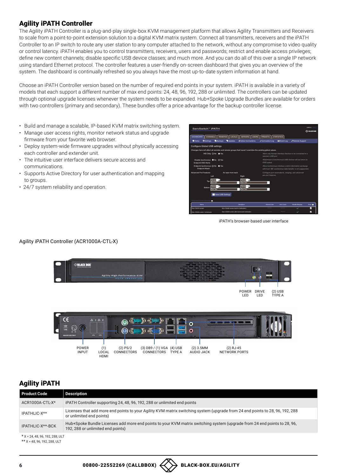# Agility iPATH Controller

The Agility iPATH Controller is a plug-and-play single-box KVM management platform that allows Agility Transmitters and Receivers to scale from a point-to-point extension solution to a digital KVM matrix system. Connect all transmitters, receivers and the iPATH Controller to an IP switch to route any user station to any computer attached to the network, without any compromise to video quality or control latency. iPATH enables you to control transmitters, receivers, users and passwords; restrict and enable access privileges; define new content channels; disable specific USB device classes; and much more. And you can do all of this over a single IP network using standard Ethernet protocol. The controller features a user-friendly on-screen dashboard that gives you an overview of the system. The dashboard is continually refreshed so you always have the most up-to-date system information at hand.

Choose an iPATH Controller version based on the number of required end points in your system. iPATH is available in a variety of models that each support a different number of max end points: 24, 48, 96, 192, 288 or unlimited. The controllers can be updated through optional upgrade licenses whenever the system needs to be expanded. Hub+Spoke Upgrade Bundles are available for orders with two controllers (primary and secondary). These bundles offer a price advantage for the backup controller license.

- Build and manage a scalable, IP-based KVM matrix switching system.
- Manage user access rights, monitor network status and upgrade firmware from your favorite web browser.
- Deploy system-wide firmware upgrades without physically accessing each controller and extender unit.
- The intuitive user interface delivers secure access and communications.
- Supports Active Directory for user authentication and mapping to groups.
- 24/7 system reliability and operation.



iPATH's browser-based user interface

#### Agility iPATH Controller (ACR1000A-CTL-X)



# Agility iPATH

| Product Code                      | <b>Description</b>                                                                                                                                            |
|-----------------------------------|---------------------------------------------------------------------------------------------------------------------------------------------------------------|
| ACR1000A-CTL-X*                   | iPATH Controller supporting 24, 48, 96, 192, 288 or unlimited end points                                                                                      |
| IPATHLIC-X**                      | Licenses that add more end points to your Agility KVM matrix switching system (upgrade from 24 end points to 28, 96, 192, 288<br>or unlimited end points)     |
| IPATHLIC-X**-BCK                  | Hub+Spoke Bundle Licenses add more end points to your KVM matrix switching system (upgrade from 24 end points to 28, 96,<br>192, 288 or unlimited end points) |
| * $X = 24, 48, 96, 192, 288, ULT$ |                                                                                                                                                               |

 $** X = 48, 96, 192, 288, ULT$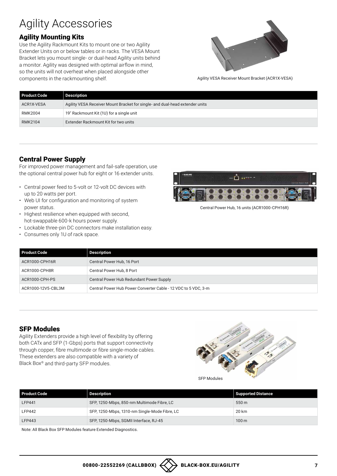# Agility Accessories

# Agility Mounting Kits

Use the Agility Rackmount Kits to mount one or two Agility Extender Units on or below tables or in racks. The VESA Mount Bracket lets you mount single- or dual-head Agility units behind a monitor. Agility was designed with optimal airflow in mind, so the units will not overheat when placed alongside other components in the rackmounting shelf.



Agility VESA Receiver Mount Bracket (ACR1X-VESA)

| <b>Product Code</b> | <b>Description</b>                                                           |
|---------------------|------------------------------------------------------------------------------|
| ACR1X-VESA          | Agility VESA Receiver Mount Bracket for single- and dual-head extender units |
| <b>RMK2004</b>      | 19" Rackmount Kit (1U) for a single unit                                     |
| <b>RMK2104</b>      | Extender Rackmount Kit for two units                                         |

## Central Power Supply

For improved power management and fail-safe operation, use the optional central power hub for eight or 16 extender units.

- Central power feed to 5-volt or 12-volt DC devices with up to 20 watts per port.
- Web UI for configuration and monitoring of system power status.
- Highest resilience when equipped with second, hot-swappable 600-k hours power supply.
- Lockable three-pin DC connectors make installation easy.
- Consumes only 1U of rack space.



Central Power Hub, 16 units (ACR1000-CPH16R)

| Product Code       | Description                                                    |
|--------------------|----------------------------------------------------------------|
| ACR1000-CPH16R     | Central Power Hub, 16 Port                                     |
| ACR1000-CPH8R      | Central Power Hub, 8 Port                                      |
| ACR1000-CPH-PS     | Central Power Hub Redundant Power Supply                       |
| ACR1000-12V5-CBL3M | Central Power Hub Power Converter Cable - 12 VDC to 5 VDC, 3-m |

#### SFP Modules

Agility Extenders provide a high level of flexibility by offering both CATx and SFP (1-Gbps) ports that support connectivity through copper, fibre multimode or fibre single-mode cables. These extenders are also compatible with a variety of Black Box® and third-party SFP modules.



SFP Modules

| <b>Product Code</b> | Description                                   | Supported Distance |
|---------------------|-----------------------------------------------|--------------------|
| <b>LFP441</b>       | SFP, 1250-Mbps, 850-nm Multimode Fibre, LC    | 550 m              |
| <b>LFP442</b>       | SFP, 1250-Mbps, 1310-nm Single-Mode Fibre, LC | 20 km              |
| <b>LFP443</b>       | SFP, 1250-Mbps, SGMII Interface, RJ-45        | 100 <sub>m</sub>   |

Note: All Black Box SFP Modules feature Extended Diagnostics.